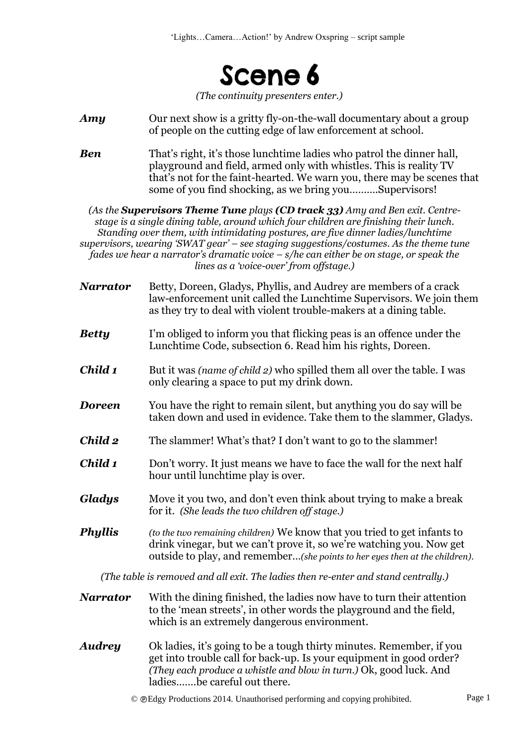

*(The continuity presenters enter.)*

- *Amy* Our next show is a gritty fly-on-the-wall documentary about a group of people on the cutting edge of law enforcement at school.
- *Ben* That's right, it's those lunchtime ladies who patrol the dinner hall, playground and field, armed only with whistles. This is reality TV that's not for the faint-hearted. We warn you, there may be scenes that some of you find shocking, as we bring you……….Supervisors!

*(As the Supervisors Theme Tune plays (CD track 33) Amy and Ben exit. Centrestage is a single dining table, around which four children are finishing their lunch. Standing over them, with intimidating postures, are five dinner ladies/lunchtime supervisors, wearing 'SWAT gear' – see staging suggestions/costumes. As the theme tune fades we hear a narrator's dramatic voice – s/he can either be on stage, or speak the lines as a 'voice-over' from offstage.)*

- *Narrator* Betty, Doreen, Gladys, Phyllis, and Audrey are members of a crack law-enforcement unit called the Lunchtime Supervisors. We join them as they try to deal with violent trouble-makers at a dining table.
- *Betty* I'm obliged to inform you that flicking peas is an offence under the Lunchtime Code, subsection 6. Read him his rights, Doreen.
- *Child 1* But it was *(name of child 2)* who spilled them all over the table. I was only clearing a space to put my drink down.
- *Doreen* You have the right to remain silent, but anything you do say will be taken down and used in evidence. Take them to the slammer, Gladys.
- *Child 2* The slammer! What's that? I don't want to go to the slammer!
- *Child 1* Don't worry. It just means we have to face the wall for the next half hour until lunchtime play is over.
- *Gladys* Move it you two, and don't even think about trying to make a break for it. *(She leads the two children off stage.)*
- *Phyllis (to the two remaining children)* We know that you tried to get infants to drink vinegar, but we can't prove it, so we're watching you. Now get outside to play, and remember…*(she points to her eyes then at the children).*

*(The table is removed and all exit. The ladies then re-enter and stand centrally.)*

- *Narrator* With the dining finished, the ladies now have to turn their attention to the 'mean streets', in other words the playground and the field, which is an extremely dangerous environment.
- *Audrey* Ok ladies, it's going to be a tough thirty minutes. Remember, if you get into trouble call for back-up. Is your equipment in good order? *(They each produce a whistle and blow in turn.)* Ok, good luck. And ladies…….be careful out there.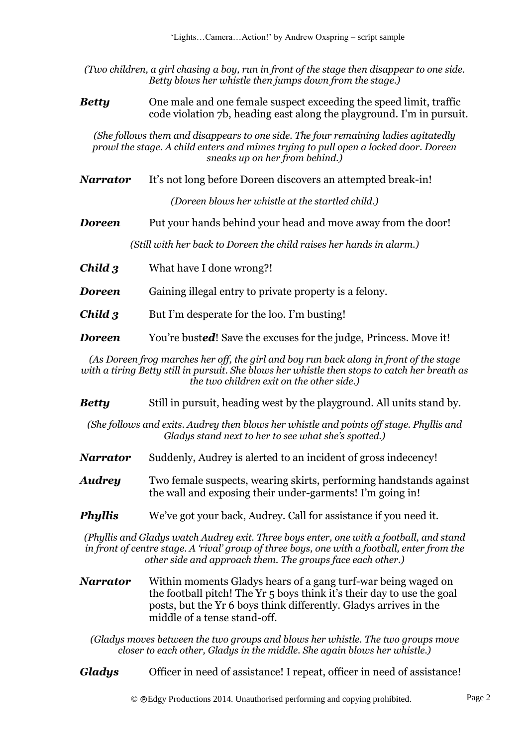*(Two children, a girl chasing a boy, run in front of the stage then disappear to one side. Betty blows her whistle then jumps down from the stage.)*

*Betty* One male and one female suspect exceeding the speed limit, traffic code violation 7b, heading east along the playground. I'm in pursuit.

*(She follows them and disappears to one side. The four remaining ladies agitatedly prowl the stage. A child enters and mimes trying to pull open a locked door. Doreen sneaks up on her from behind.)*

*Narrator* It's not long before Doreen discovers an attempted break-in!

*(Doreen blows her whistle at the startled child.)*

**Doreen** Put your hands behind your head and move away from the door!

*(Still with her back to Doreen the child raises her hands in alarm.)*

*Child 3* What have I done wrong?!

*Doreen* Gaining illegal entry to private property is a felony.

*Child 3* But I'm desperate for the loo. I'm busting!

**Doreen** You're busted! Save the excuses for the judge, Princess. Move it!

*(As Doreen frog marches her off, the girl and boy run back along in front of the stage with a tiring Betty still in pursuit. She blows her whistle then stops to catch her breath as the two children exit on the other side.)*

*Bettu* Still in pursuit, heading west by the playground. All units stand by.

*(She follows and exits. Audrey then blows her whistle and points off stage. Phyllis and Gladys stand next to her to see what she's spotted.)*

*Narrator* Suddenly, Audrey is alerted to an incident of gross indecency!

*Audrey* Two female suspects, wearing skirts, performing handstands against the wall and exposing their under-garments! I'm going in!

**Phyllis** We've got your back, Audrey. Call for assistance if you need it.

*(Phyllis and Gladys watch Audrey exit. Three boys enter, one with a football, and stand in front of centre stage. A 'rival' group of three boys, one with a football, enter from the other side and approach them. The groups face each other.)* 

*Narrator* Within moments Gladys hears of a gang turf-war being waged on the football pitch! The Yr 5 boys think it's their day to use the goal posts, but the Yr 6 boys think differently. Gladys arrives in the middle of a tense stand-off.

*(Gladys moves between the two groups and blows her whistle. The two groups move closer to each other, Gladys in the middle. She again blows her whistle.)*

*Gladys* Officer in need of assistance! I repeat, officer in need of assistance!